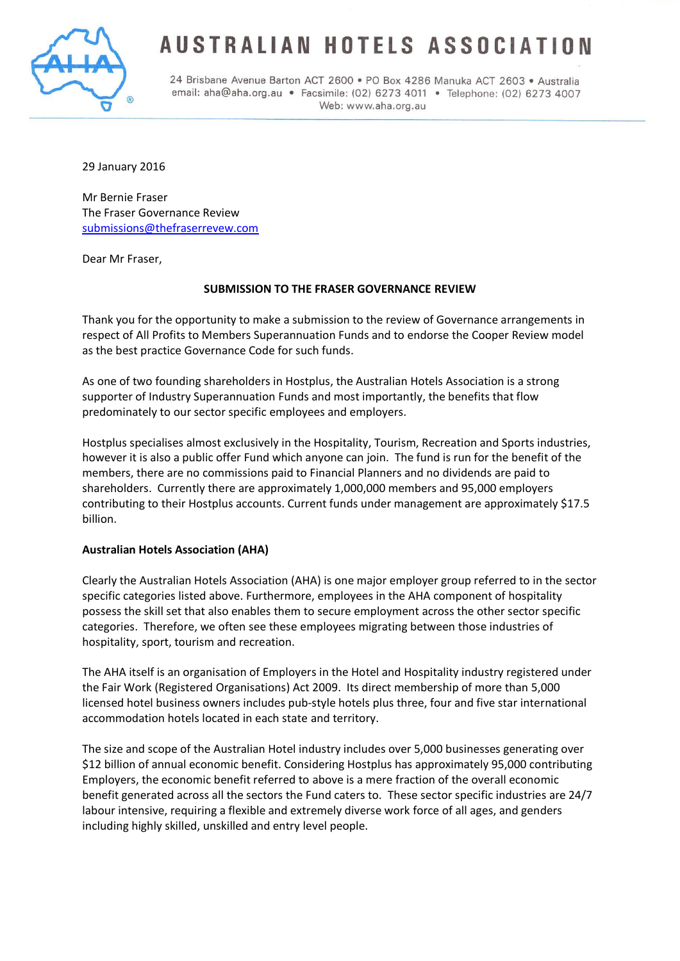

# USTRALIAN HOTELS ASSOCIATI

24 Brisbane Avenue Barton ACT 2600 · PO Box 4286 Manuka ACT 2603 · Australia email: aha@aha.org.au · Facsimile: (02) 6273 4011 · Telephone: (02) 6273 4007 Web: www.aha.org.au

29 January 2016

Mr Bernie Fraser The Fraser Governance Review [submissions@thefraserrevew.com](mailto:submissions@thefraserrevew.com)

Dear Mr Fraser,

## **SUBMISSION TO THE FRASER GOVERNANCE REVIEW**

Thank you for the opportunity to make a submission to the review of Governance arrangements in respect of All Profits to Members Superannuation Funds and to endorse the Cooper Review model as the best practice Governance Code for such funds.

As one of two founding shareholders in Hostplus, the Australian Hotels Association is a strong supporter of Industry Superannuation Funds and most importantly, the benefits that flow predominately to our sector specific employees and employers.

Hostplus specialises almost exclusively in the Hospitality, Tourism, Recreation and Sports industries, however it is also a public offer Fund which anyone can join. The fund is run for the benefit of the members, there are no commissions paid to Financial Planners and no dividends are paid to shareholders. Currently there are approximately 1,000,000 members and 95,000 employers contributing to their Hostplus accounts. Current funds under management are approximately \$17.5 billion.

## **Australian Hotels Association (AHA)**

Clearly the Australian Hotels Association (AHA) is one major employer group referred to in the sector specific categories listed above. Furthermore, employees in the AHA component of hospitality possess the skill set that also enables them to secure employment across the other sector specific categories. Therefore, we often see these employees migrating between those industries of hospitality, sport, tourism and recreation.

The AHA itself is an organisation of Employers in the Hotel and Hospitality industry registered under the Fair Work (Registered Organisations) Act 2009. Its direct membership of more than 5,000 licensed hotel business owners includes pub-style hotels plus three, four and five star international accommodation hotels located in each state and territory.

The size and scope of the Australian Hotel industry includes over 5,000 businesses generating over \$12 billion of annual economic benefit. Considering Hostplus has approximately 95,000 contributing Employers, the economic benefit referred to above is a mere fraction of the overall economic benefit generated across all the sectors the Fund caters to. These sector specific industries are 24/7 labour intensive, requiring a flexible and extremely diverse work force of all ages, and genders including highly skilled, unskilled and entry level people.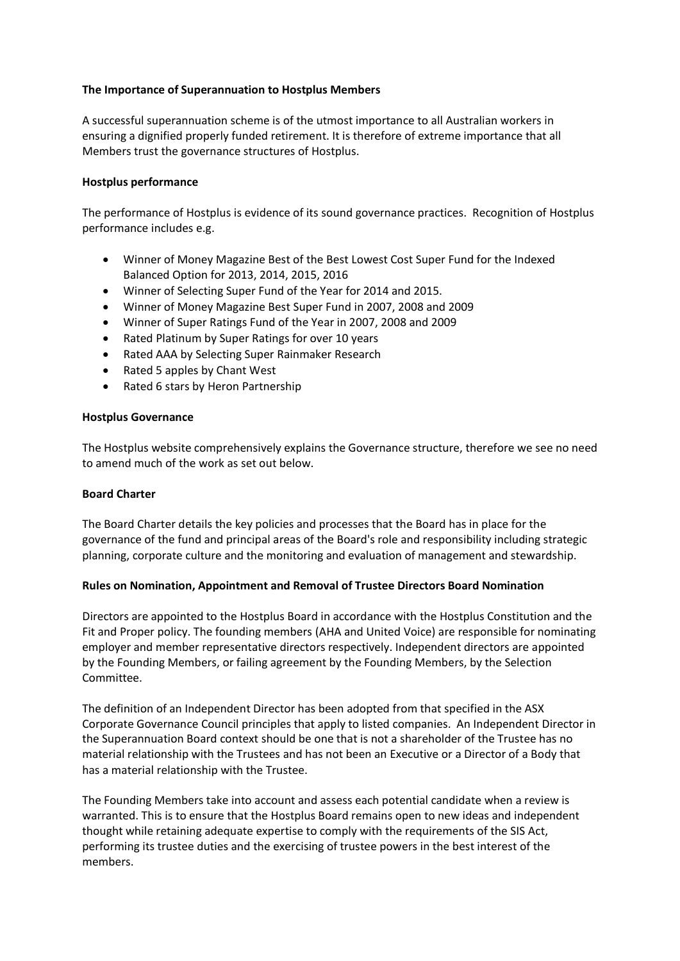## **The Importance of Superannuation to Hostplus Members**

A successful superannuation scheme is of the utmost importance to all Australian workers in ensuring a dignified properly funded retirement. It is therefore of extreme importance that all Members trust the governance structures of Hostplus.

## **Hostplus performance**

The performance of Hostplus is evidence of its sound governance practices. Recognition of Hostplus performance includes e.g.

- Winner of Money Magazine Best of the Best Lowest Cost Super Fund for the Indexed Balanced Option for 2013, 2014, 2015, 2016
- Winner of Selecting Super Fund of the Year for 2014 and 2015.
- Winner of Money Magazine Best Super Fund in 2007, 2008 and 2009
- Winner of Super Ratings Fund of the Year in 2007, 2008 and 2009
- Rated Platinum by Super Ratings for over 10 years
- Rated AAA by Selecting Super Rainmaker Research
- Rated 5 apples by Chant West
- Rated 6 stars by Heron Partnership

#### **Hostplus Governance**

The Hostplus website comprehensively explains the Governance structure, therefore we see no need to amend much of the work as set out below.

## **Board Charter**

The Board Charter details the key policies and processes that the Board has in place for the governance of the fund and principal areas of the Board's role and responsibility including strategic planning, corporate culture and the monitoring and evaluation of management and stewardship.

## **Rules on Nomination, Appointment and Removal of Trustee Directors Board Nomination**

Directors are appointed to the Hostplus Board in accordance with the Hostplus Constitution and the Fit and Proper policy. The founding members (AHA and United Voice) are responsible for nominating employer and member representative directors respectively. Independent directors are appointed by the Founding Members, or failing agreement by the Founding Members, by the Selection Committee.

The definition of an Independent Director has been adopted from that specified in the ASX Corporate Governance Council principles that apply to listed companies. An Independent Director in the Superannuation Board context should be one that is not a shareholder of the Trustee has no material relationship with the Trustees and has not been an Executive or a Director of a Body that has a material relationship with the Trustee.

The Founding Members take into account and assess each potential candidate when a review is warranted. This is to ensure that the Hostplus Board remains open to new ideas and independent thought while retaining adequate expertise to comply with the requirements of the SIS Act, performing its trustee duties and the exercising of trustee powers in the best interest of the members.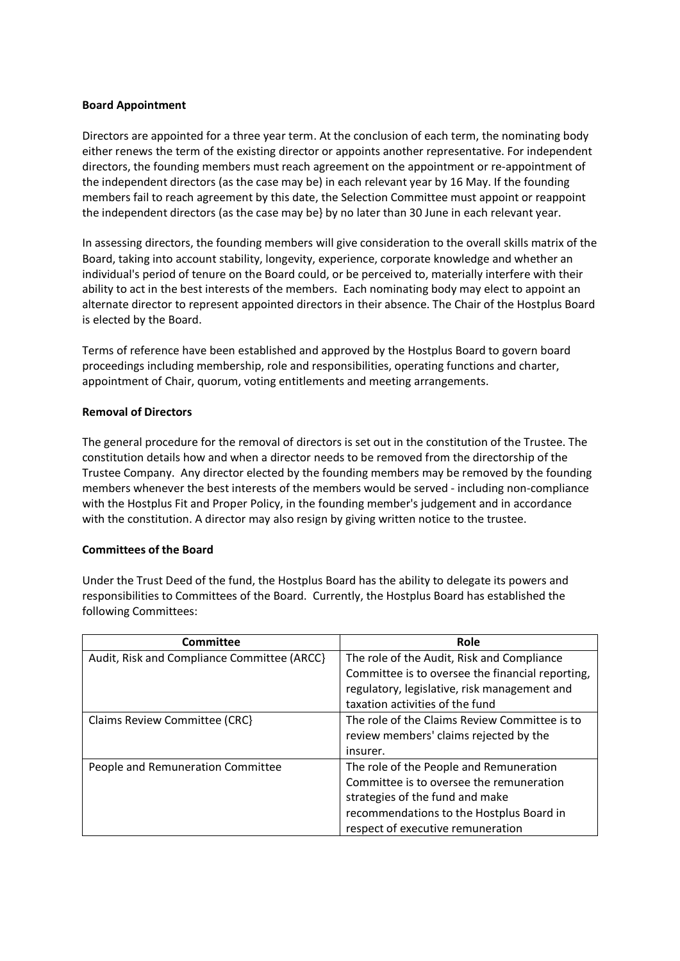## **Board Appointment**

Directors are appointed for a three year term. At the conclusion of each term, the nominating body either renews the term of the existing director or appoints another representative. For independent directors, the founding members must reach agreement on the appointment or re-appointment of the independent directors (as the case may be) in each relevant year by 16 May. If the founding members fail to reach agreement by this date, the Selection Committee must appoint or reappoint the independent directors (as the case may be} by no later than 30 June in each relevant year.

In assessing directors, the founding members will give consideration to the overall skills matrix of the Board, taking into account stability, longevity, experience, corporate knowledge and whether an individual's period of tenure on the Board could, or be perceived to, materially interfere with their ability to act in the best interests of the members. Each nominating body may elect to appoint an alternate director to represent appointed directors in their absence. The Chair of the Hostplus Board is elected by the Board.

Terms of reference have been established and approved by the Hostplus Board to govern board proceedings including membership, role and responsibilities, operating functions and charter, appointment of Chair, quorum, voting entitlements and meeting arrangements.

#### **Removal of Directors**

The general procedure for the removal of directors is set out in the constitution of the Trustee. The constitution details how and when a director needs to be removed from the directorship of the Trustee Company. Any director elected by the founding members may be removed by the founding members whenever the best interests of the members would be served - including non-compliance with the Hostplus Fit and Proper Policy, in the founding member's judgement and in accordance with the constitution. A director may also resign by giving written notice to the trustee.

## **Committees of the Board**

Under the Trust Deed of the fund, the Hostplus Board has the ability to delegate its powers and responsibilities to Committees of the Board. Currently, the Hostplus Board has established the following Committees:

| Committee                                   | Role                                             |
|---------------------------------------------|--------------------------------------------------|
| Audit, Risk and Compliance Committee (ARCC) | The role of the Audit, Risk and Compliance       |
|                                             | Committee is to oversee the financial reporting, |
|                                             | regulatory, legislative, risk management and     |
|                                             | taxation activities of the fund                  |
| Claims Review Committee (CRC)               | The role of the Claims Review Committee is to    |
|                                             | review members' claims rejected by the           |
|                                             | insurer.                                         |
| People and Remuneration Committee           | The role of the People and Remuneration          |
|                                             | Committee is to oversee the remuneration         |
|                                             | strategies of the fund and make                  |
|                                             | recommendations to the Hostplus Board in         |
|                                             | respect of executive remuneration                |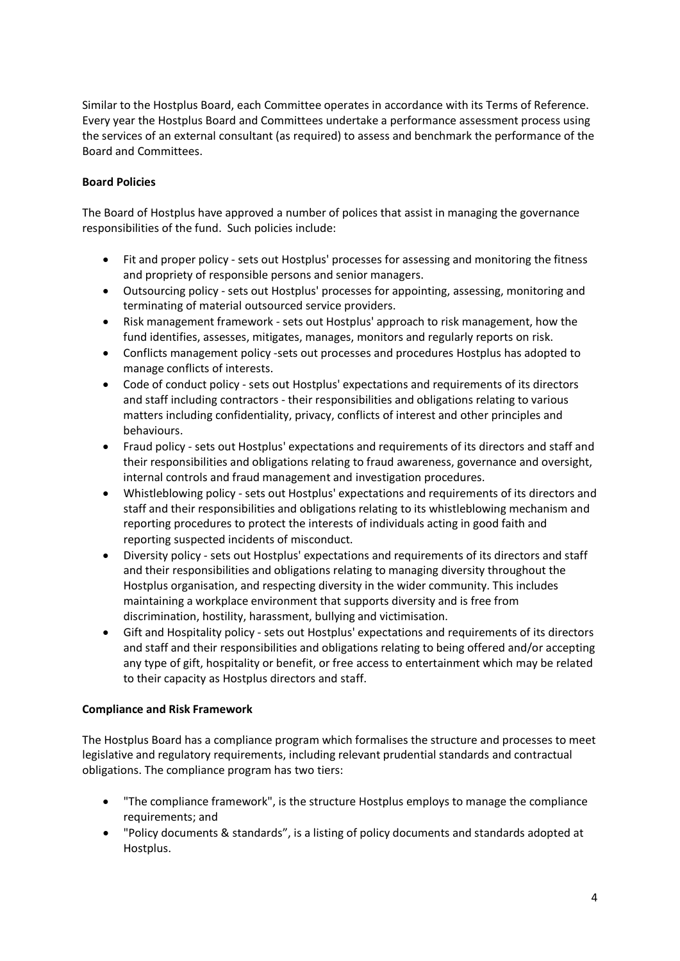Similar to the Hostplus Board, each Committee operates in accordance with its Terms of Reference. Every year the Hostplus Board and Committees undertake a performance assessment process using the services of an external consultant (as required) to assess and benchmark the performance of the Board and Committees.

## **Board Policies**

The Board of Hostplus have approved a number of polices that assist in managing the governance responsibilities of the fund. Such policies include:

- Fit and proper policy sets out Hostplus' processes for assessing and monitoring the fitness and propriety of responsible persons and senior managers.
- Outsourcing policy sets out Hostplus' processes for appointing, assessing, monitoring and terminating of material outsourced service providers.
- Risk management framework sets out Hostplus' approach to risk management, how the fund identifies, assesses, mitigates, manages, monitors and regularly reports on risk.
- Conflicts management policy -sets out processes and procedures Hostplus has adopted to manage conflicts of interests.
- Code of conduct policy sets out Hostplus' expectations and requirements of its directors and staff including contractors - their responsibilities and obligations relating to various matters including confidentiality, privacy, conflicts of interest and other principles and behaviours.
- Fraud policy sets out Hostplus' expectations and requirements of its directors and staff and their responsibilities and obligations relating to fraud awareness, governance and oversight, internal controls and fraud management and investigation procedures.
- Whistleblowing policy sets out Hostplus' expectations and requirements of its directors and staff and their responsibilities and obligations relating to its whistleblowing mechanism and reporting procedures to protect the interests of individuals acting in good faith and reporting suspected incidents of misconduct.
- Diversity policy sets out Hostplus' expectations and requirements of its directors and staff and their responsibilities and obligations relating to managing diversity throughout the Hostplus organisation, and respecting diversity in the wider community. This includes maintaining a workplace environment that supports diversity and is free from discrimination, hostility, harassment, bullying and victimisation.
- Gift and Hospitality policy sets out Hostplus' expectations and requirements of its directors and staff and their responsibilities and obligations relating to being offered and/or accepting any type of gift, hospitality or benefit, or free access to entertainment which may be related to their capacity as Hostplus directors and staff.

## **Compliance and Risk Framework**

The Hostplus Board has a compliance program which formalises the structure and processes to meet legislative and regulatory requirements, including relevant prudential standards and contractual obligations. The compliance program has two tiers:

- "The compliance framework", is the structure Hostplus employs to manage the compliance requirements; and
- "Policy documents & standards", is a listing of policy documents and standards adopted at Hostplus.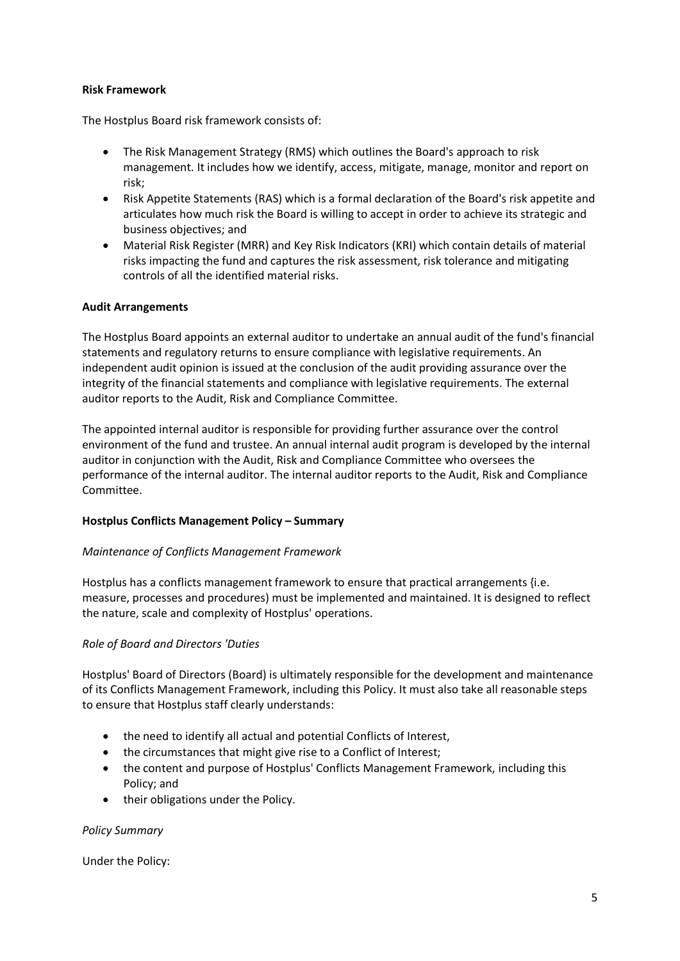## **Risk Framework**

The Hostplus Board risk framework consists of:

- The Risk Management Strategy (RMS) which outlines the Board's approach to risk management. It includes how we identify, access, mitigate, manage, monitor and report on risk;
- Risk Appetite Statements (RAS) which is a formal declaration of the Board's risk appetite and articulates how much risk the Board is willing to accept in order to achieve its strategic and business objectives; and
- Material Risk Register (MRR) and Key Risk Indicators (KRI) which contain details of material risks impacting the fund and captures the risk assessment, risk tolerance and mitigating controls of all the identified material risks.

## **Audit Arrangements**

The Hostplus Board appoints an external auditor to undertake an annual audit of the fund's financial statements and regulatory returns to ensure compliance with legislative requirements. An independent audit opinion is issued at the conclusion of the audit providing assurance over the integrity of the financial statements and compliance with legislative requirements. The external auditor reports to the Audit, Risk and Compliance Committee.

The appointed internal auditor is responsible for providing further assurance over the control environment of the fund and trustee. An annual internal audit program is developed by the internal auditor in conjunction with the Audit, Risk and Compliance Committee who oversees the performance of the internal auditor. The internal auditor reports to the Audit, Risk and Compliance Committee.

## **Hostplus Conflicts Management Policy – Summary**

## *Maintenance of Conflicts Management Framework*

Hostplus has a conflicts management framework to ensure that practical arrangements {i.e. measure, processes and procedures) must be implemented and maintained. It is designed to reflect the nature, scale and complexity of Hostplus' operations.

## *Role of Board and Directors 'Duties*

Hostplus' Board of Directors (Board) is ultimately responsible for the development and maintenance of its Conflicts Management Framework, including this Policy. It must also take all reasonable steps to ensure that Hostplus staff clearly understands:

- the need to identify all actual and potential Conflicts of Interest,
- the circumstances that might give rise to a Conflict of Interest;
- the content and purpose of Hostplus' Conflicts Management Framework, including this Policy; and
- their obligations under the Policy.

## *Policy Summary*

Under the Policy: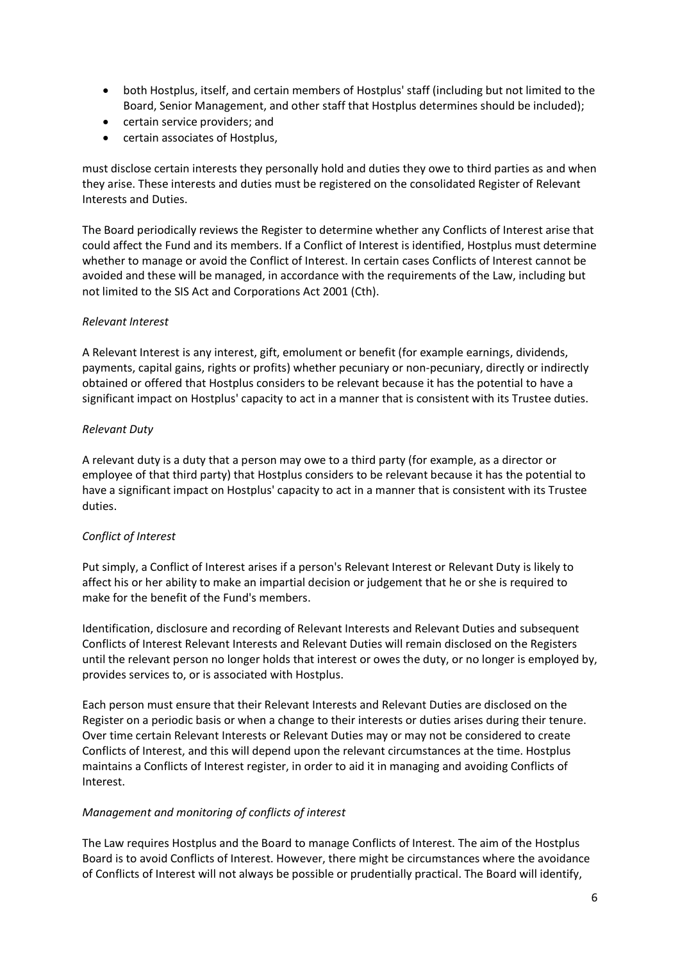- both Hostplus, itself, and certain members of Hostplus' staff (including but not limited to the Board, Senior Management, and other staff that Hostplus determines should be included);
- certain service providers; and
- certain associates of Hostplus,

must disclose certain interests they personally hold and duties they owe to third parties as and when they arise. These interests and duties must be registered on the consolidated Register of Relevant Interests and Duties.

The Board periodically reviews the Register to determine whether any Conflicts of Interest arise that could affect the Fund and its members. If a Conflict of Interest is identified, Hostplus must determine whether to manage or avoid the Conflict of Interest. In certain cases Conflicts of Interest cannot be avoided and these will be managed, in accordance with the requirements of the Law, including but not limited to the SIS Act and Corporations Act 2001 (Cth).

## *Relevant Interest*

A Relevant Interest is any interest, gift, emolument or benefit (for example earnings, dividends, payments, capital gains, rights or profits) whether pecuniary or non-pecuniary, directly or indirectly obtained or offered that Hostplus considers to be relevant because it has the potential to have a significant impact on Hostplus' capacity to act in a manner that is consistent with its Trustee duties.

## *Relevant Duty*

A relevant duty is a duty that a person may owe to a third party (for example, as a director or employee of that third party) that Hostplus considers to be relevant because it has the potential to have a significant impact on Hostplus' capacity to act in a manner that is consistent with its Trustee duties.

# *Conflict of Interest*

Put simply, a Conflict of Interest arises if a person's Relevant Interest or Relevant Duty is likely to affect his or her ability to make an impartial decision or judgement that he or she is required to make for the benefit of the Fund's members.

Identification, disclosure and recording of Relevant Interests and Relevant Duties and subsequent Conflicts of Interest Relevant Interests and Relevant Duties will remain disclosed on the Registers until the relevant person no longer holds that interest or owes the duty, or no longer is employed by, provides services to, or is associated with Hostplus.

Each person must ensure that their Relevant Interests and Relevant Duties are disclosed on the Register on a periodic basis or when a change to their interests or duties arises during their tenure. Over time certain Relevant Interests or Relevant Duties may or may not be considered to create Conflicts of Interest, and this will depend upon the relevant circumstances at the time. Hostplus maintains a Conflicts of Interest register, in order to aid it in managing and avoiding Conflicts of Interest.

## *Management and monitoring of conflicts of interest*

The Law requires Hostplus and the Board to manage Conflicts of Interest. The aim of the Hostplus Board is to avoid Conflicts of Interest. However, there might be circumstances where the avoidance of Conflicts of Interest will not always be possible or prudentially practical. The Board will identify,